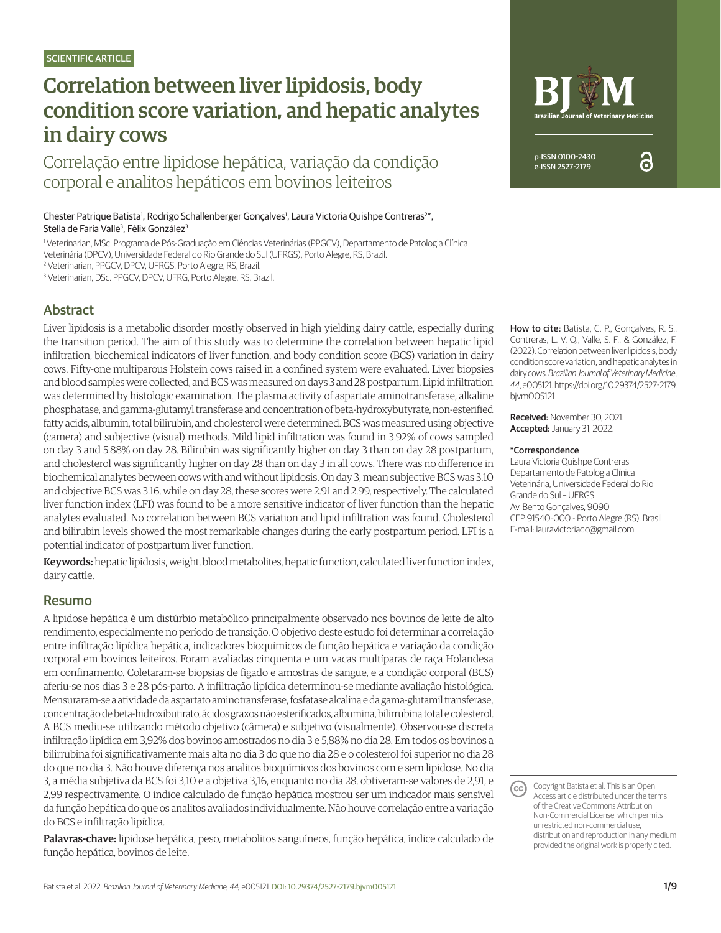# Correlation between liver lipidosis, body condition score variation, and hepatic analytes in dairy cows

Correlação entre lipidose hepática, variação da condição corporal e analitos hepáticos em bovinos leiteiros

Chester Patrique Batista<sup>1</sup>, Rodrigo Schallenberger Gonçalves<sup>1</sup>, Laura Victoria Quishpe Contreras<sup>2\*</sup>, Stella de Faria Valle<sup>3</sup>, Félix González<sup>3</sup>

1 Veterinarian, MSc. Programa de Pós-Graduação em Ciências Veterinárias (PPGCV), Departamento de Patologia Clínica

Veterinária (DPCV), Universidade Federal do Rio Grande do Sul (UFRGS), Porto Alegre, RS, Brazil.

2 Veterinarian, PPGCV, DPCV, UFRGS, Porto Alegre, RS, Brazil.

<sup>3</sup> Veterinarian, DSc. PPGCV, DPCV, UFRG, Porto Alegre, RS, Brazil.

# Abstract

Liver lipidosis is a metabolic disorder mostly observed in high yielding dairy cattle, especially during the transition period. The aim of this study was to determine the correlation between hepatic lipid infiltration, biochemical indicators of liver function, and body condition score (BCS) variation in dairy cows. Fifty-one multiparous Holstein cows raised in a confined system were evaluated. Liver biopsies and blood samples were collected, and BCS was measured on days 3 and 28 postpartum. Lipid infiltration was determined by histologic examination. The plasma activity of aspartate aminotransferase, alkaline phosphatase, and gamma-glutamyl transferase and concentration of beta-hydroxybutyrate, non-esterified fatty acids, albumin, total bilirubin, and cholesterol were determined. BCS was measured using objective (camera) and subjective (visual) methods. Mild lipid infiltration was found in 3.92% of cows sampled on day 3 and 5.88% on day 28. Bilirubin was significantly higher on day 3 than on day 28 postpartum, and cholesterol was significantly higher on day 28 than on day 3 in all cows. There was no difference in biochemical analytes between cows with and without lipidosis. On day 3, mean subjective BCS was 3.10 and objective BCS was 3.16, while on day 28, these scores were 2.91 and 2.99, respectively. The calculated liver function index (LFI) was found to be a more sensitive indicator of liver function than the hepatic analytes evaluated. No correlation between BCS variation and lipid infiltration was found. Cholesterol and bilirubin levels showed the most remarkable changes during the early postpartum period. LFI is a potential indicator of postpartum liver function.

Keywords: hepatic lipidosis, weight, blood metabolites, hepatic function, calculated liver function index, dairy cattle.

# Resumo

A lipidose hepática é um distúrbio metabólico principalmente observado nos bovinos de leite de alto rendimento, especialmente no período de transição. O objetivo deste estudo foi determinar a correlação entre infiltração lipídica hepática, indicadores bioquímicos de função hepática e variação da condição corporal em bovinos leiteiros. Foram avaliadas cinquenta e um vacas multíparas de raça Holandesa em confinamento. Coletaram-se biopsias de fígado e amostras de sangue, e a condição corporal (BCS) aferiu-se nos dias 3 e 28 pós-parto. A infiltração lipídica determinou-se mediante avaliação histológica. Mensuraram-se a atividade da aspartato aminotransferase, fosfatase alcalina e da gama-glutamil transferase, concentração de beta-hidroxibutirato, ácidos graxos não esterificados, albumina, bilirrubina total e colesterol. A BCS mediu-se utilizando método objetivo (câmera) e subjetivo (visualmente). Observou-se discreta infiltração lipídica em 3,92% dos bovinos amostrados no dia 3 e 5,88% no dia 28. Em todos os bovinos a bilirrubina foi significativamente mais alta no dia 3 do que no dia 28 e o colesterol foi superior no dia 28 do que no dia 3. Não houve diferença nos analitos bioquímicos dos bovinos com e sem lipidose. No dia 3, a média subjetiva da BCS foi 3,10 e a objetiva 3,16, enquanto no dia 28, obtiveram-se valores de 2,91, e 2,99 respectivamente. O índice calculado de função hepática mostrou ser um indicador mais sensível da função hepática do que os analitos avaliados individualmente. Não houve correlação entre a variação do BCS e infiltração lipídica.

Palavras-chave: lipidose hepática, peso, metabolitos sanguíneos, função hepática, índice calculado de função hepática, bovinos de leite.



ဥ

How to cite: Batista, C. P., Gonçalves, R. S., Contreras, L. V. Q., Valle, S. F., & González, F. (2022). Correlation between liver lipidosis, body condition score variation, and hepatic analytes in dairy cows. *Brazilian Journal of Veterinary Medicine*, *44*, e005121. [https://doi.org/10.29374/2527-2179.](https://doi.org/10.29374/2527-2179.bjvm005121) [bjvm005121](https://doi.org/10.29374/2527-2179.bjvm005121)

Received: November 30, 2021. Accepted: January 31, 2022.

#### \*Correspondence

Laura Victoria Quishpe Contreras Departamento de Patologia Clínica Veterinária, Universidade Federal do Rio Grande do Sul – UFRGS Av. Bento Gonçalves, 9090 CEP 91540-000 - Porto Alegre (RS), Brasil E-mail: lauravictoriaqc@gmail.com

Copyright Batista et al. This is an Open  $(cc)$ Access article distributed under the terms of the Creative Commons Attribution Non-Commercial License, which permits unrestricted non-commercial use, distribution and reproduction in any medium provided the original work is properly cited.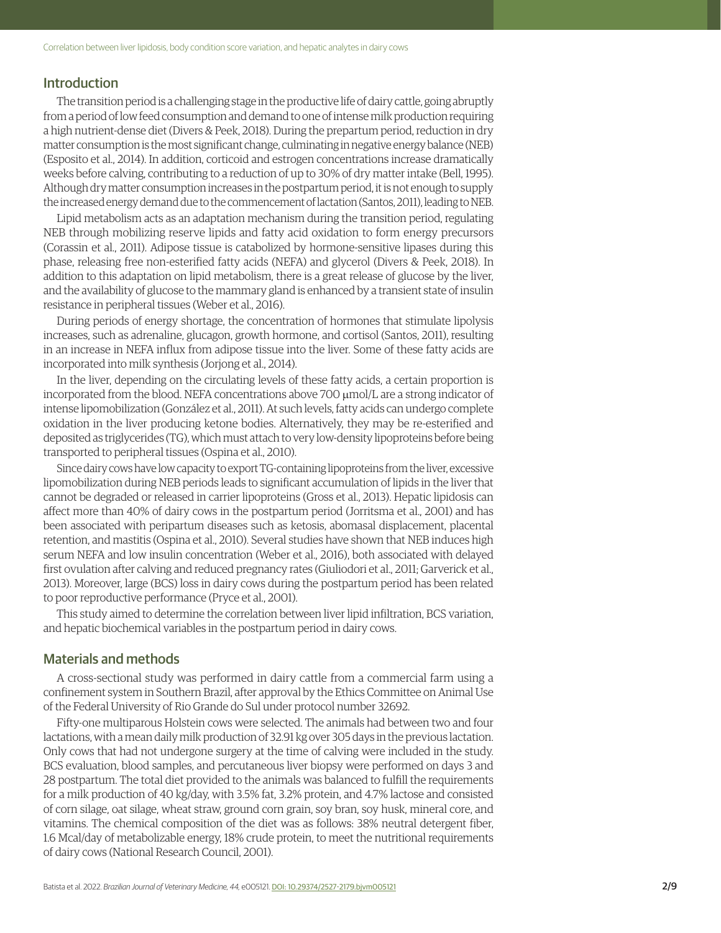## Introduction

The transition period is a challenging stage in the productive life of dairy cattle, going abruptly from a period of low feed consumption and demand to one of intense milk production requiring a high nutrient-dense diet (Divers & Peek, 2018). During the prepartum period, reduction in dry matter consumption is the most significant change, culminating in negative energy balance (NEB) (Esposito et al., 2014). In addition, corticoid and estrogen concentrations increase dramatically weeks before calving, contributing to a reduction of up to 30% of dry matter intake (Bell, 1995). Although dry matter consumption increases in the postpartum period, it is not enough to supply the increased energy demand due to the commencement of lactation (Santos, 2011), leading to NEB.

Lipid metabolism acts as an adaptation mechanism during the transition period, regulating NEB through mobilizing reserve lipids and fatty acid oxidation to form energy precursors (Corassin et al., 2011). Adipose tissue is catabolized by hormone-sensitive lipases during this phase, releasing free non-esterified fatty acids (NEFA) and glycerol (Divers & Peek, 2018). In addition to this adaptation on lipid metabolism, there is a great release of glucose by the liver, and the availability of glucose to the mammary gland is enhanced by a transient state of insulin resistance in peripheral tissues (Weber et al., 2016).

During periods of energy shortage, the concentration of hormones that stimulate lipolysis increases, such as adrenaline, glucagon, growth hormone, and cortisol (Santos, 2011), resulting in an increase in NEFA influx from adipose tissue into the liver. Some of these fatty acids are incorporated into milk synthesis (Jorjong et al., 2014).

In the liver, depending on the circulating levels of these fatty acids, a certain proportion is incorporated from the blood. NEFA concentrations above 700 μmol/L are a strong indicator of intense lipomobilization (González et al., 2011). At such levels, fatty acids can undergo complete oxidation in the liver producing ketone bodies. Alternatively, they may be re-esterified and deposited as triglycerides (TG), which must attach to very low-density lipoproteins before being transported to peripheral tissues (Ospina et al., 2010).

Since dairy cows have low capacity to export TG-containing lipoproteins from the liver, excessive lipomobilization during NEB periods leads to significant accumulation of lipids in the liver that cannot be degraded or released in carrier lipoproteins (Gross et al., 2013). Hepatic lipidosis can affect more than 40% of dairy cows in the postpartum period (Jorritsma et al., 2001) and has been associated with peripartum diseases such as ketosis, abomasal displacement, placental retention, and mastitis (Ospina et al., 2010). Several studies have shown that NEB induces high serum NEFA and low insulin concentration (Weber et al., 2016), both associated with delayed first ovulation after calving and reduced pregnancy rates (Giuliodori et al., 2011; Garverick et al., 2013). Moreover, large (BCS) loss in dairy cows during the postpartum period has been related to poor reproductive performance (Pryce et al., 2001).

This study aimed to determine the correlation between liver lipid infiltration, BCS variation, and hepatic biochemical variables in the postpartum period in dairy cows.

#### Materials and methods

A cross-sectional study was performed in dairy cattle from a commercial farm using a confinement system in Southern Brazil, after approval by the Ethics Committee on Animal Use of the Federal University of Rio Grande do Sul under protocol number 32692.

Fifty-one multiparous Holstein cows were selected. The animals had between two and four lactations, with a mean daily milk production of 32.91 kg over 305 days in the previous lactation. Only cows that had not undergone surgery at the time of calving were included in the study. BCS evaluation, blood samples, and percutaneous liver biopsy were performed on days 3 and 28 postpartum. The total diet provided to the animals was balanced to fulfill the requirements for a milk production of 40 kg/day, with 3.5% fat, 3.2% protein, and 4.7% lactose and consisted of corn silage, oat silage, wheat straw, ground corn grain, soy bran, soy husk, mineral core, and vitamins. The chemical composition of the diet was as follows: 38% neutral detergent fiber, 1.6 Mcal/day of metabolizable energy, 18% crude protein, to meet the nutritional requirements of dairy cows (National Research Council, 2001).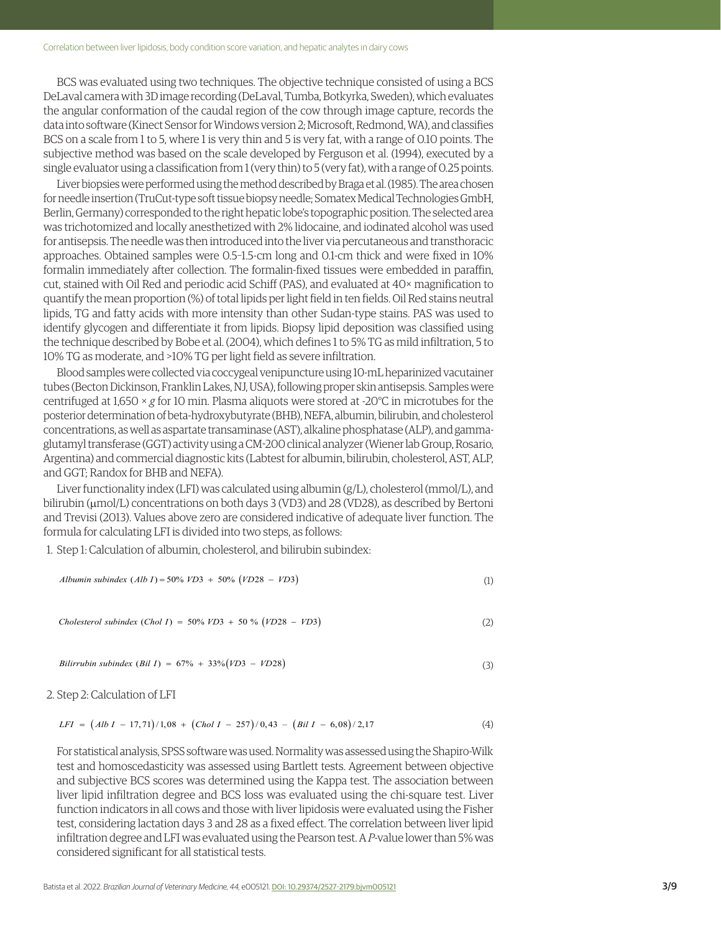BCS was evaluated using two techniques. The objective technique consisted of using a BCS DeLaval camera with 3D image recording (DeLaval, Tumba, Botkyrka, Sweden), which evaluates the angular conformation of the caudal region of the cow through image capture, records the data into software (Kinect Sensor for Windows version 2; Microsoft, Redmond, WA), and classifies BCS on a scale from 1 to 5, where 1 is very thin and 5 is very fat, with a range of 0.10 points. The subjective method was based on the scale developed by Ferguson et al. (1994), executed by a single evaluator using a classification from 1 (very thin) to 5 (very fat), with a range of 0.25 points.

Liver biopsies were performed using the method described by Braga et al. (1985). The area chosen for needle insertion (TruCut-type soft tissue biopsy needle; Somatex Medical Technologies GmbH, Berlin, Germany) corresponded to the right hepatic lobe's topographic position. The selected area was trichotomized and locally anesthetized with 2% lidocaine, and iodinated alcohol was used for antisepsis. The needle was then introduced into the liver via percutaneous and transthoracic approaches. Obtained samples were 0.5–1.5-cm long and 0.1-cm thick and were fixed in 10% formalin immediately after collection. The formalin-fixed tissues were embedded in paraffin, cut, stained with Oil Red and periodic acid Schiff (PAS), and evaluated at 40× magnification to quantify the mean proportion (%) of total lipids per light field in ten fields. Oil Red stains neutral lipids, TG and fatty acids with more intensity than other Sudan-type stains. PAS was used to identify glycogen and differentiate it from lipids. Biopsy lipid deposition was classified using the technique described by Bobe et al. (2004), which defines 1 to 5% TG as mild infiltration, 5 to 10% TG as moderate, and >10% TG per light field as severe infiltration.

Blood samples were collected via coccygeal venipuncture using 10-mL heparinized vacutainer tubes (Becton Dickinson, Franklin Lakes, NJ, USA), following proper skin antisepsis. Samples were centrifuged at 1,650 × *g* for 10 min. Plasma aliquots were stored at -20°C in microtubes for the posterior determination of beta-hydroxybutyrate (BHB), NEFA, albumin, bilirubin, and cholesterol concentrations, as well as aspartate transaminase (AST), alkaline phosphatase (ALP), and gammaglutamyl transferase (GGT) activity using a CM-200 clinical analyzer (Wiener lab Group, Rosario, Argentina) and commercial diagnostic kits (Labtest for albumin, bilirubin, cholesterol, AST, ALP, and GGT; Randox for BHB and NEFA).

Liver functionality index (LFI) was calculated using albumin (g/L), cholesterol (mmol/L), and bilirubin ( $\mu$ mol/L) concentrations on both days 3 (VD3) and 28 (VD28), as described by Bertoni and Trevisi (2013). Values above zero are considered indicative of adequate liver function. The formula for calculating LFI is divided into two steps, as follows:

1. Step 1: Calculation of albumin, cholesterol, and bilirubin subindex:

*Albumin subindex (Alb I)* = 50% *VD3* + 50% 
$$
(VD28 - VD3)
$$
 (1)

 $Cholesterol subindex (Chol I) = 50\% VD3 + 50\% (VD28 - VD3)$  (2)

*Bilirrubin subindex (Bil I)* = 
$$
67\% + 33\%(VD3 - VD28)
$$
 (3)

#### 2. Step 2: Calculation of LFI

$$
LFI = (Alb I - 17,71)/1,08 + (Chol I - 257)/0,43 - (Bil I - 6,08)/2,17
$$
\n(4)

For statistical analysis, SPSS software was used. Normality was assessed using the Shapiro-Wilk test and homoscedasticity was assessed using Bartlett tests. Agreement between objective and subjective BCS scores was determined using the Kappa test. The association between liver lipid infiltration degree and BCS loss was evaluated using the chi-square test. Liver function indicators in all cows and those with liver lipidosis were evaluated using the Fisher test, considering lactation days 3 and 28 as a fixed effect. The correlation between liver lipid infiltration degree and LFI was evaluated using the Pearson test. A *P*-value lower than 5% was considered significant for all statistical tests.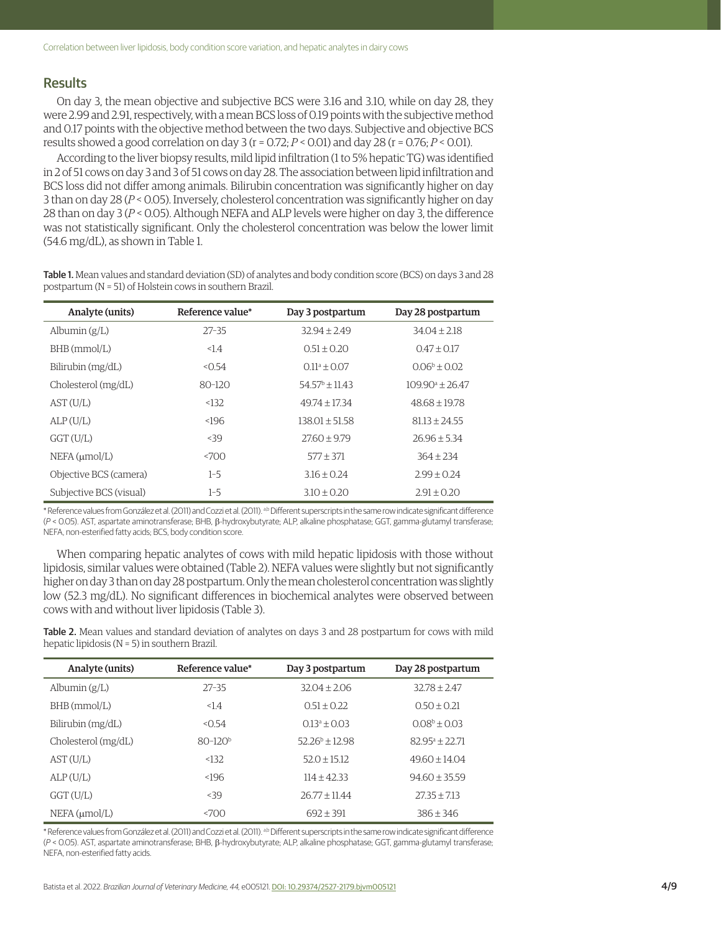# **Results**

On day 3, the mean objective and subjective BCS were 3.16 and 3.10, while on day 28, they were 2.99 and 2.91, respectively, with a mean BCS loss of 0.19 points with the subjective method and 0.17 points with the objective method between the two days. Subjective and objective BCS results showed a good correlation on day  $3$  ( $r = 0.72$ ;  $P < 0.01$ ) and day  $28$  ( $r = 0.76$ ;  $P < 0.01$ ).

According to the liver biopsy results, mild lipid infiltration (1 to 5% hepatic TG) was identified in 2 of 51 cows on day 3 and 3 of 51 cows on day 28. The association between lipid infiltration and BCS loss did not differ among animals. Bilirubin concentration was significantly higher on day 3 than on day 28 (*P* < 0.05). Inversely, cholesterol concentration was significantly higher on day 28 than on day 3 (*P* < 0.05). Although NEFA and ALP levels were higher on day 3, the difference was not statistically significant. Only the cholesterol concentration was below the lower limit (54.6 mg/dL), as shown in Table 1.

Table 1. Mean values and standard deviation (SD) of analytes and body condition score (BCS) on days 3 and 28 postpartum (N = 51) of Holstein cows in southern Brazil.

| Analyte (units)         | Reference value* | Day 3 postpartum        | Day 28 postpartum    |
|-------------------------|------------------|-------------------------|----------------------|
| Albumin $(g/L)$         | $27 - 35$        | $32.94 + 2.49$          | $34.04 \pm 2.18$     |
| BHB (mmol/L)            | 1.4              | $0.51 \pm 0.20$         | $0.47 \pm 0.17$      |
| Bilirubin (mg/dL)       | < 0.54           | $0.11^a \pm 0.07$       | $0.06^b + 0.02$      |
| Cholesterol (mg/dL)     | $80 - 120$       | $54.57^{\circ}$ + 11.43 | $109.90^a \pm 26.47$ |
| AST(U/L)                | < 132            | $49.74 + 17.34$         | $48.68 + 19.78$      |
| ALP(U/L)                | ~196             | $138.01 + 51.58$        | $81.13 + 24.55$      |
| $GGT$ (U/L)             | < 39             | $27.60 + 9.79$          | $26.96 + 5.34$       |
| $NEFA$ ( $\mu$ mol/L)   | 5700             | $577 + 371$             | $364 + 234$          |
| Objective BCS (camera)  | $1 - 5$          | $3.16 + 0.24$           | $2.99 + 0.24$        |
| Subjective BCS (visual) | $1 - 5$          | $3.10 + 0.20$           | $2.91 + 0.20$        |

\* Reference values from González et al. (2011) and Cozzi et al. (2011). <sup>a,b</sup> Different superscripts in the same row indicate significant difference (*P* < 0.05). AST, aspartate aminotransferase; BHB, β-hydroxybutyrate; ALP, alkaline phosphatase; GGT, gamma-glutamyl transferase; NEFA, non-esterified fatty acids; BCS, body condition score.

When comparing hepatic analytes of cows with mild hepatic lipidosis with those without lipidosis, similar values were obtained (Table 2). NEFA values were slightly but not significantly higher on day 3 than on day 28 postpartum. Only the mean cholesterol concentration was slightly low (52.3 mg/dL). No significant differences in biochemical analytes were observed between cows with and without liver lipidosis (Table 3).

Table 2. Mean values and standard deviation of analytes on days 3 and 28 postpartum for cows with mild hepatic lipidosis (N = 5) in southern Brazil.

| Analyte (units)       | Reference value* | Day 3 postpartum  | Day 28 postpartum       |
|-----------------------|------------------|-------------------|-------------------------|
| Albumin $(g/L)$       | $27 - 35$        | $32.04 + 2.06$    | $32.78 + 2.47$          |
| BHB (mmol/L)          | 1.4              | $0.51 \pm 0.22$   | $0.50 \pm 0.21$         |
| Bilirubin (mg/dL)     | < 0.54           | $0.13^a \pm 0.03$ | $0.08^b + 0.03$         |
| Cholesterol (mg/dL)   | $80 - 120b$      | $52.26^b + 12.98$ | $82.95^{\circ} + 22.71$ |
| AST(U/L)              | < 132            | $52.0 \pm 15.12$  | $49.60 \pm 14.04$       |
| ALP(U/L)              | ~196             | $114 + 4233$      | $94.60 + 35.59$         |
| GGT(U/L)              | 39               | $26.77 + 11.44$   | $27.35 + 7.13$          |
| $NEFA$ ( $\mu$ mol/L) | 500 <sub>2</sub> | $692 \pm 391$     | $386 + 346$             |

\* Reference values from González et al. (2011) and Cozzi et al. (2011). <sup>a,b</sup> Different superscripts in the same row indicate significant difference (*P* < 0.05). AST, aspartate aminotransferase; BHB, β-hydroxybutyrate; ALP, alkaline phosphatase; GGT, gamma-glutamyl transferase; NEFA, non-esterified fatty acids.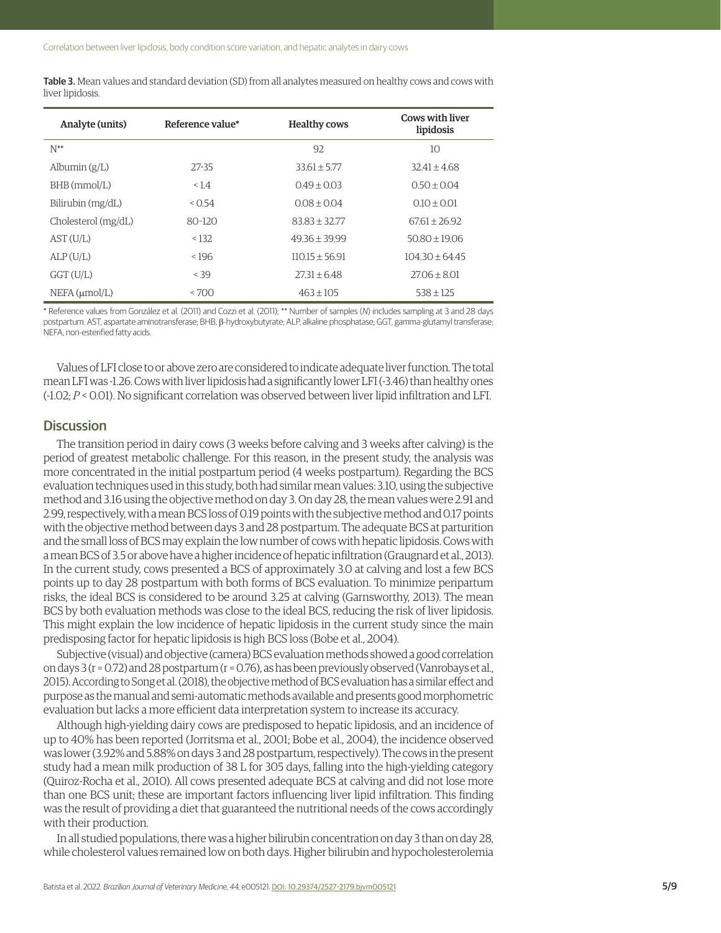| <b>Table 3.</b> Mean values and standard deviation (SD) from all analytes measured on healthy cows and cows with |
|------------------------------------------------------------------------------------------------------------------|
| liver lipidosis.                                                                                                 |

| Analyte (units)       | Reference value* | <b>Healthy cows</b> | <b>Cows with liver</b><br>lipidosis |
|-----------------------|------------------|---------------------|-------------------------------------|
| $N^{**}$              |                  | 92                  | 10                                  |
| Albumin $(g/L)$       | 27-35            | $33.61 + 5.77$      | $32.41 + 4.68$                      |
| $BHB$ (mmol/L)        | 1.4              | $0.49 + 0.03$       | $0.50 + 0.04$                       |
| Bilirubin (mg/dL)     | < 0.54           | $0.08 + 0.04$       | $0.10 \pm 0.01$                     |
| Cholesterol (mg/dL)   | $80 - 120$       | $83.83 + 32.77$     | $67.61 + 26.92$                     |
| AST(U/L)              | < 132            | $49.36 + 39.99$     | $50.80 + 19.06$                     |
| ALP(U/L)              | < 196            | $110.15 + 56.91$    | $104.30 + 64.45$                    |
| GGT(U/L)              | < 39             | $27.31 + 6.48$      | $27.06 + 8.01$                      |
| $NEFA$ ( $\mu$ mol/L) | <700             | $463 + 105$         | $538 + 125$                         |

\* Reference values from González et al. (2011) and Cozzi et al. (2011); \*\* Number of samples (*N*) includes sampling at 3 and 28 days postpartum. AST, aspartate aminotransferase; BHB, β-hydroxybutyrate; ALP, alkaline phosphatase; GGT, gamma-glutamyl transferase; NEFA, non-esterified fatty acids.

Values of LFI close to or above zero are considered to indicate adequate liver function. The total mean LFI was -1.26. Cows with liver lipidosis had a significantly lower LFI (-3.46) than healthy ones (-1.02; *P* < 0.01). No significant correlation was observed between liver lipid infiltration and LFI.

#### **Discussion**

The transition period in dairy cows (3 weeks before calving and 3 weeks after calving) is the period of greatest metabolic challenge. For this reason, in the present study, the analysis was more concentrated in the initial postpartum period (4 weeks postpartum). Regarding the BCS evaluation techniques used in this study, both had similar mean values: 3.10, using the subjective method and 3.16 using the objective method on day 3. On day 28, the mean values were 2.91 and 2.99, respectively, with a mean BCS loss of 0.19 points with the subjective method and 0.17 points with the objective method between days 3 and 28 postpartum. The adequate BCS at parturition and the small loss of BCS may explain the low number of cows with hepatic lipidosis. Cows with a mean BCS of 3.5 or above have a higher incidence of hepatic infiltration (Graugnard et al., 2013). In the current study, cows presented a BCS of approximately 3.0 at calving and lost a few BCS points up to day 28 postpartum with both forms of BCS evaluation. To minimize peripartum risks, the ideal BCS is considered to be around 3.25 at calving (Garnsworthy, 2013). The mean BCS by both evaluation methods was close to the ideal BCS, reducing the risk of liver lipidosis. This might explain the low incidence of hepatic lipidosis in the current study since the main predisposing factor for hepatic lipidosis is high BCS loss (Bobe et al., 2004).

Subjective (visual) and objective (camera) BCS evaluation methods showed a good correlation on days 3 (r = 0.72) and 28 postpartum (r = 0.76), as has been previously observed (Vanrobays et al., 2015). According to Song et al. (2018), the objective method of BCS evaluation has a similar effect and purpose as the manual and semi-automatic methods available and presents good morphometric evaluation but lacks a more efficient data interpretation system to increase its accuracy.

Although high-yielding dairy cows are predisposed to hepatic lipidosis, and an incidence of up to 40% has been reported (Jorritsma et al., 2001; Bobe et al., 2004), the incidence observed was lower (3.92% and 5.88% on days 3 and 28 postpartum, respectively). The cows in the present study had a mean milk production of 38 L for 305 days, falling into the high-yielding category (Quiroz-Rocha et al., 2010). All cows presented adequate BCS at calving and did not lose more than one BCS unit; these are important factors influencing liver lipid infiltration. This finding was the result of providing a diet that guaranteed the nutritional needs of the cows accordingly with their production.

In all studied populations, there was a higher bilirubin concentration on day 3 than on day 28, while cholesterol values remained low on both days. Higher bilirubin and hypocholesterolemia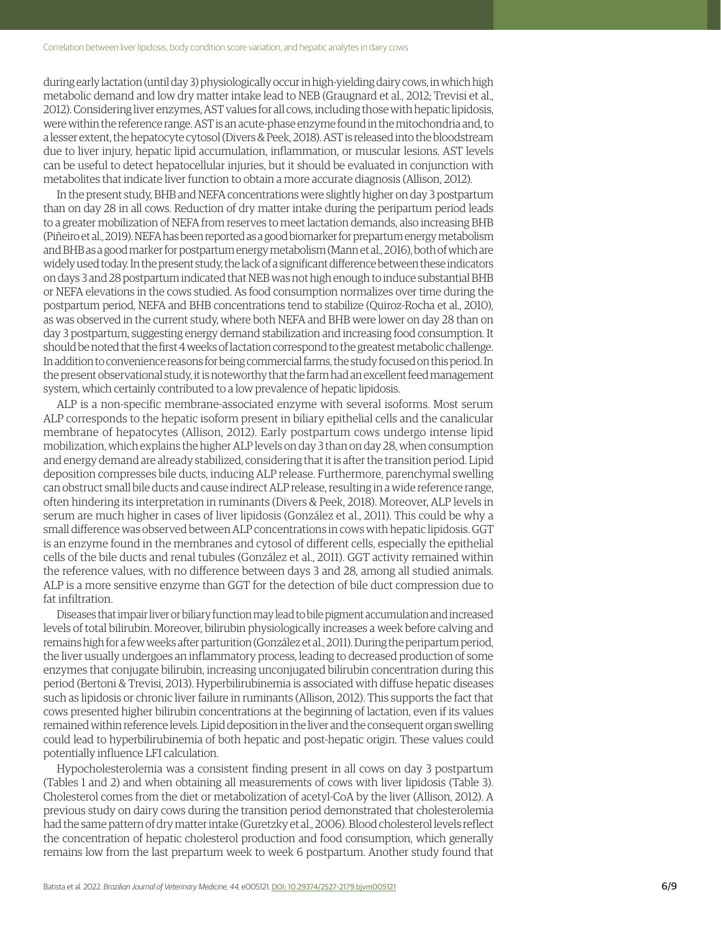during early lactation (until day 3) physiologically occur in high-yielding dairy cows, in which high metabolic demand and low dry matter intake lead to NEB (Graugnard et al., 2012; Trevisi et al., 2012). Considering liver enzymes, AST values for all cows, including those with hepatic lipidosis, were within the reference range. AST is an acute-phase enzyme found in the mitochondria and, to a lesser extent, the hepatocyte cytosol (Divers & Peek, 2018). AST is released into the bloodstream due to liver injury, hepatic lipid accumulation, inflammation, or muscular lesions. AST levels can be useful to detect hepatocellular injuries, but it should be evaluated in conjunction with metabolites that indicate liver function to obtain a more accurate diagnosis (Allison, 2012).

In the present study, BHB and NEFA concentrations were slightly higher on day 3 postpartum than on day 28 in all cows. Reduction of dry matter intake during the peripartum period leads to a greater mobilization of NEFA from reserves to meet lactation demands, also increasing BHB (Piñeiro et al., 2019). NEFA has been reported as a good biomarker for prepartum energy metabolism and BHB as a good marker for postpartum energy metabolism (Mann et al., 2016), both of which are widely used today. In the present study, the lack of a significant difference between these indicators on days 3 and 28 postpartum indicated that NEB was not high enough to induce substantial BHB or NEFA elevations in the cows studied. As food consumption normalizes over time during the postpartum period, NEFA and BHB concentrations tend to stabilize (Quiroz-Rocha et al., 2010), as was observed in the current study, where both NEFA and BHB were lower on day 28 than on day 3 postpartum, suggesting energy demand stabilization and increasing food consumption. It should be noted that the first 4 weeks of lactation correspond to the greatest metabolic challenge. In addition to convenience reasons for being commercial farms, the study focused on this period. In the present observational study, it is noteworthy that the farm had an excellent feed management system, which certainly contributed to a low prevalence of hepatic lipidosis.

ALP is a non-specific membrane-associated enzyme with several isoforms. Most serum ALP corresponds to the hepatic isoform present in biliary epithelial cells and the canalicular membrane of hepatocytes (Allison, 2012). Early postpartum cows undergo intense lipid mobilization, which explains the higher ALP levels on day 3 than on day 28, when consumption and energy demand are already stabilized, considering that it is after the transition period. Lipid deposition compresses bile ducts, inducing ALP release. Furthermore, parenchymal swelling can obstruct small bile ducts and cause indirect ALP release, resulting in a wide reference range, often hindering its interpretation in ruminants (Divers & Peek, 2018). Moreover, ALP levels in serum are much higher in cases of liver lipidosis (González et al., 2011). This could be why a small difference was observed between ALP concentrations in cows with hepatic lipidosis. GGT is an enzyme found in the membranes and cytosol of different cells, especially the epithelial cells of the bile ducts and renal tubules (González et al., 2011). GGT activity remained within the reference values, with no difference between days 3 and 28, among all studied animals. ALP is a more sensitive enzyme than GGT for the detection of bile duct compression due to fat infiltration.

Diseases that impair liver or biliary function may lead to bile pigment accumulation and increased levels of total bilirubin. Moreover, bilirubin physiologically increases a week before calving and remains high for a few weeks after parturition (González et al., 2011). During the peripartum period, the liver usually undergoes an inflammatory process, leading to decreased production of some enzymes that conjugate bilirubin, increasing unconjugated bilirubin concentration during this period (Bertoni & Trevisi, 2013). Hyperbilirubinemia is associated with diffuse hepatic diseases such as lipidosis or chronic liver failure in ruminants (Allison, 2012). This supports the fact that cows presented higher bilirubin concentrations at the beginning of lactation, even if its values remained within reference levels. Lipid deposition in the liver and the consequent organ swelling could lead to hyperbilirubinemia of both hepatic and post-hepatic origin. These values could potentially influence LFI calculation.

Hypocholesterolemia was a consistent finding present in all cows on day 3 postpartum (Tables 1 and 2) and when obtaining all measurements of cows with liver lipidosis (Table 3). Cholesterol comes from the diet or metabolization of acetyl-CoA by the liver (Allison, 2012). A previous study on dairy cows during the transition period demonstrated that cholesterolemia had the same pattern of dry matter intake (Guretzky et al., 2006). Blood cholesterol levels reflect the concentration of hepatic cholesterol production and food consumption, which generally remains low from the last prepartum week to week 6 postpartum. Another study found that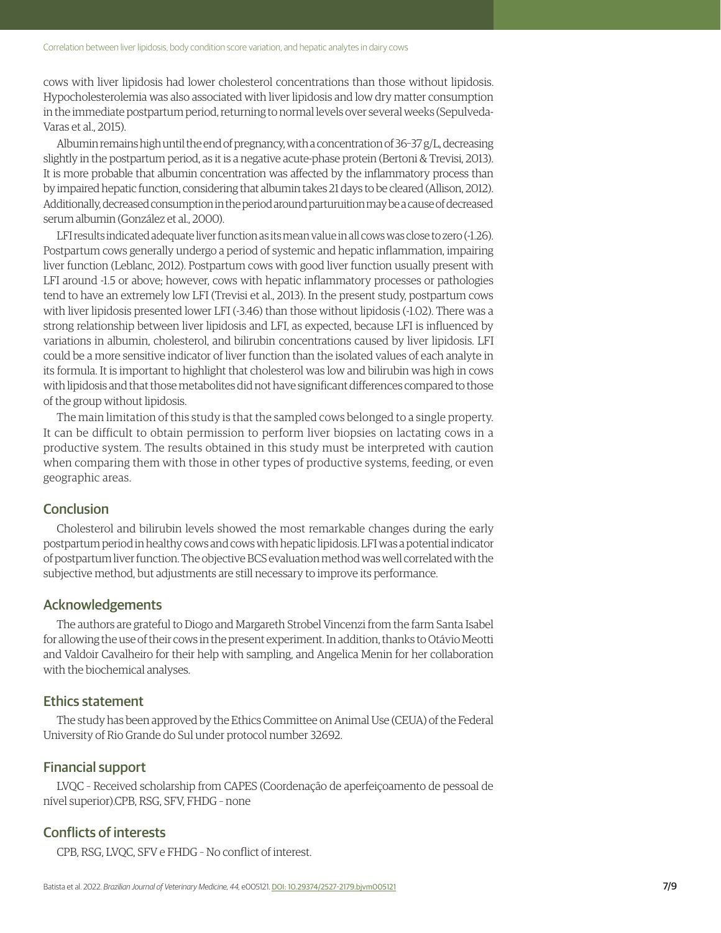cows with liver lipidosis had lower cholesterol concentrations than those without lipidosis. Hypocholesterolemia was also associated with liver lipidosis and low dry matter consumption in the immediate postpartum period, returning to normal levels over several weeks (Sepulveda-Varas et al., 2015).

Albumin remains high until the end of pregnancy, with a concentration of 36–37 g/L, decreasing slightly in the postpartum period, as it is a negative acute-phase protein (Bertoni & Trevisi, 2013). It is more probable that albumin concentration was affected by the inflammatory process than by impaired hepatic function, considering that albumin takes 21 days to be cleared (Allison, 2012). Additionally, decreased consumption in the period around parturuition may be a cause of decreased serum albumin (González et al., 2000).

LFI results indicated adequate liver function as its mean value in all cows was close to zero (-1.26). Postpartum cows generally undergo a period of systemic and hepatic inflammation, impairing liver function (Leblanc, 2012). Postpartum cows with good liver function usually present with LFI around -1.5 or above; however, cows with hepatic inflammatory processes or pathologies tend to have an extremely low LFI (Trevisi et al., 2013). In the present study, postpartum cows with liver lipidosis presented lower LFI (-3.46) than those without lipidosis (-1.02). There was a strong relationship between liver lipidosis and LFI, as expected, because LFI is influenced by variations in albumin, cholesterol, and bilirubin concentrations caused by liver lipidosis. LFI could be a more sensitive indicator of liver function than the isolated values of each analyte in its formula. It is important to highlight that cholesterol was low and bilirubin was high in cows with lipidosis and that those metabolites did not have significant differences compared to those of the group without lipidosis.

The main limitation of this study is that the sampled cows belonged to a single property. It can be difficult to obtain permission to perform liver biopsies on lactating cows in a productive system. The results obtained in this study must be interpreted with caution when comparing them with those in other types of productive systems, feeding, or even geographic areas.

#### **Conclusion**

Cholesterol and bilirubin levels showed the most remarkable changes during the early postpartum period in healthy cows and cows with hepatic lipidosis. LFI was a potential indicator of postpartum liver function. The objective BCS evaluation method was well correlated with the subjective method, but adjustments are still necessary to improve its performance.

# Acknowledgements

The authors are grateful to Diogo and Margareth Strobel Vincenzi from the farm Santa Isabel for allowing the use of their cows in the present experiment. In addition, thanks to Otávio Meotti and Valdoir Cavalheiro for their help with sampling, and Angelica Menin for her collaboration with the biochemical analyses.

#### Ethics statement

The study has been approved by the Ethics Committee on Animal Use (CEUA) of the Federal University of Rio Grande do Sul under protocol number 32692.

# Financial support

LVQC – Received scholarship from CAPES (Coordenação de aperfeiçoamento de pessoal de nível superior).CPB, RSG, SFV, FHDG – none

# Conflicts of interests

CPB, RSG, LVQC, SFV e FHDG – No conflict of interest.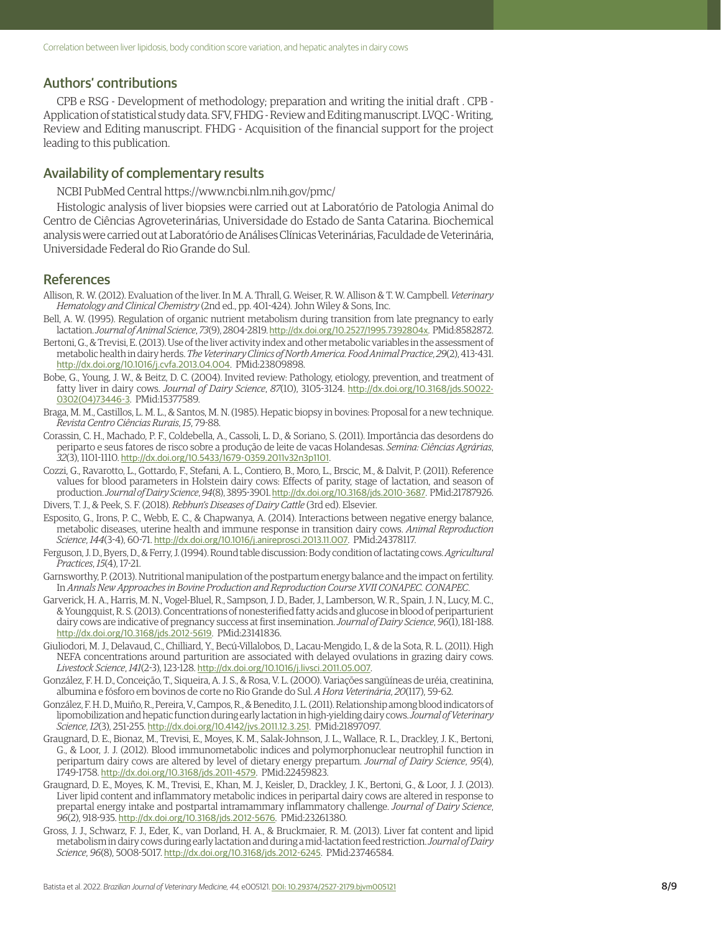## Authors' contributions

CPB e RSG - Development of methodology; preparation and writing the initial draft . CPB - Application of statistical study data. SFV, FHDG - Review and Editing manuscript. LVQC - Writing, Review and Editing manuscript. FHDG - Acquisition of the financial support for the project leading to this publication.

# Availability of complementary results

NCBI PubMed Central https://www.ncbi.nlm.nih.gov/pmc/

Histologic analysis of liver biopsies were carried out at Laboratório de Patologia Animal do Centro de Ciências Agroveterinárias, Universidade do Estado de Santa Catarina. Biochemical analysis were carried out at Laboratório de Análises Clínicas Veterinárias, Faculdade de Veterinária, Universidade Federal do Rio Grande do Sul.

#### References

- Allison, R. W. (2012). Evaluation of the liver. In M. A. Thrall, G. Weiser, R. W. Allison & T. W. Campbell. *Veterinary Hematology and Clinical Chemistry* (2nd ed., pp. 401-424). John Wiley & Sons, Inc.
- Bell, A. W. (1995). Regulation of organic nutrient metabolism during transition from late pregnancy to early lactation. *Journal of Animal Science*, *73*(9), 2804-2819. [http://dx.doi.org/10.2527/1995.7392804x](https://doi.org/10.2527/1995.7392804x). [PMid:8582872.](https://www.ncbi.nlm.nih.gov/entrez/query.fcgi?cmd=Retrieve&db=PubMed&list_uids=8582872&dopt=Abstract)
- Bertoni, G., & Trevisi, E. (2013). Use of the liver activity index and other metabolic variables in the assessment of metabolic health in dairy herds. *The Veterinary Clinics of North America. Food Animal Practice*, *29*(2), 413-431. [http://dx.doi.org/10.1016/j.cvfa.2013.04.004](https://doi.org/10.1016/j.cvfa.2013.04.004). [PMid:23809898.](https://www.ncbi.nlm.nih.gov/entrez/query.fcgi?cmd=Retrieve&db=PubMed&list_uids=23809898&dopt=Abstract)
- Bobe, G., Young, J. W., & Beitz, D. C. (2004). Invited review: Pathology, etiology, prevention, and treatment of fatty liver in dairy cows. *Journal of Dairy Science*, *87*(10), 3105-3124. [http://dx.doi.org/10.3168/jds.S0022-](https://doi.org/10.3168/jds.S0022-0302(04)73446-3) [0302\(04\)73446-3](https://doi.org/10.3168/jds.S0022-0302(04)73446-3). [PMid:15377589.](https://www.ncbi.nlm.nih.gov/entrez/query.fcgi?cmd=Retrieve&db=PubMed&list_uids=15377589&dopt=Abstract)
- Braga, M. M., Castillos, L. M. L., & Santos, M. N. (1985). Hepatic biopsy in bovines: Proposal for a new technique. *Revista Centro Ciências Rurais*, *15*, 79-88.
- Corassin, C. H., Machado, P. F., Coldebella, A., Cassoli, L. D., & Soriano, S. (2011). Importância das desordens do periparto e seus fatores de risco sobre a produção de leite de vacas Holandesas. *Semina: Ciências Agrárias*, *32*(3), 1101-1110. [http://dx.doi.org/10.5433/1679-0359.2011v32n3p1101](https://doi.org/10.5433/1679-0359.2011v32n3p1101).
- Cozzi, G., Ravarotto, L., Gottardo, F., Stefani, A. L., Contiero, B., Moro, L., Brscic, M., & Dalvit, P. (2011). Reference values for blood parameters in Holstein dairy cows: Effects of parity, stage of lactation, and season of production. *Journal of Dairy Science*, *94*(8), 3895-3901. [http://dx.doi.org/10.3168/jds.2010-3687](https://doi.org/10.3168/jds.2010-3687). [PMid:21787926.](https://www.ncbi.nlm.nih.gov/entrez/query.fcgi?cmd=Retrieve&db=PubMed&list_uids=21787926&dopt=Abstract) Divers, T. J., & Peek, S. F. (2018). *Rebhun's Diseases of Dairy Cattle* (3rd ed). Elsevier.
- Esposito, G., Irons, P. C., Webb, E. C., & Chapwanya, A. (2014). Interactions between negative energy balance, metabolic diseases, uterine health and immune response in transition dairy cows. *Animal Reproduction Science*, *144*(3-4), 60-71. [http://dx.doi.org/10.1016/j.anireprosci.2013.11.007](https://doi.org/10.1016/j.anireprosci.2013.11.007). [PMid:24378117.](https://www.ncbi.nlm.nih.gov/entrez/query.fcgi?cmd=Retrieve&db=PubMed&list_uids=24378117&dopt=Abstract)
- Ferguson, J. D., Byers, D., & Ferry, J. (1994). Round table discussion: Body condition of lactating cows. *Agricultural Practices*, *15*(4), 17-21.
- Garnsworthy, P. (2013). Nutritional manipulation of the postpartum energy balance and the impact on fertility. In *Annals New Approaches in Bovine Production and Reproduction Course XVII CONAPEC. CONAPEC*.
- Garverick, H. A., Harris, M. N., Vogel-Bluel, R., Sampson, J. D., Bader, J., Lamberson, W. R., Spain, J. N., Lucy, M. C., & Youngquist, R. S. (2013). Concentrations of nonesterified fatty acids and glucose in blood of periparturient dairy cows are indicative of pregnancy success at first insemination. *Journal of Dairy Science*, *96*(1), 181-188. [http://dx.doi.org/10.3168/jds.2012-5619](https://doi.org/10.3168/jds.2012-5619). [PMid:23141836.](https://www.ncbi.nlm.nih.gov/entrez/query.fcgi?cmd=Retrieve&db=PubMed&list_uids=23141836&dopt=Abstract)
- Giuliodori, M. J., Delavaud, C., Chilliard, Y., Becú-Villalobos, D., Lacau-Mengido, I., & de la Sota, R. L. (2011). High NEFA concentrations around parturition are associated with delayed ovulations in grazing dairy cows. *Livestock Science*, *141*(2-3), 123-128. [http://dx.doi.org/10.1016/j.livsci.2011.05.007](https://doi.org/10.1016/j.livsci.2011.05.007).
- González, F. H. D., Conceição, T., Siqueira, A. J. S., & Rosa, V. L. (2000). Variações sangüíneas de uréia, creatinina, albumina e fósforo em bovinos de corte no Rio Grande do Sul. *A Hora Veterinária*, *20*(117), 59-62.
- González, F. H. D., Muiño, R., Pereira, V., Campos, R., & Benedito, J. L. (2011). Relationship among blood indicators of lipomobilization and hepatic function during early lactation in high-yielding dairy cows. *Journal of Veterinary Science*, *12*(3), 251-255. [http://dx.doi.org/10.4142/jvs.2011.12.3.251](https://doi.org/10.4142/jvs.2011.12.3.251). [PMid:21897097.](https://www.ncbi.nlm.nih.gov/entrez/query.fcgi?cmd=Retrieve&db=PubMed&list_uids=21897097&dopt=Abstract)
- Graugnard, D. E., Bionaz, M., Trevisi, E., Moyes, K. M., Salak-Johnson, J. L., Wallace, R. L., Drackley, J. K., Bertoni, G., & Loor, J. J. (2012). Blood immunometabolic indices and polymorphonuclear neutrophil function in peripartum dairy cows are altered by level of dietary energy prepartum. *Journal of Dairy Science*, *95*(4), 1749-1758. [http://dx.doi.org/10.3168/jds.2011-4579](https://doi.org/10.3168/jds.2011-4579). [PMid:22459823.](https://www.ncbi.nlm.nih.gov/entrez/query.fcgi?cmd=Retrieve&db=PubMed&list_uids=22459823&dopt=Abstract)
- Graugnard, D. E., Moyes, K. M., Trevisi, E., Khan, M. J., Keisler, D., Drackley, J. K., Bertoni, G., & Loor, J. J. (2013). Liver lipid content and inflammatory metabolic indices in peripartal dairy cows are altered in response to prepartal energy intake and postpartal intramammary inflammatory challenge. *Journal of Dairy Science*, *96*(2), 918-935. [http://dx.doi.org/10.3168/jds.2012-5676](https://doi.org/10.3168/jds.2012-5676). [PMid:23261380.](https://www.ncbi.nlm.nih.gov/entrez/query.fcgi?cmd=Retrieve&db=PubMed&list_uids=23261380&dopt=Abstract)
- Gross, J. J., Schwarz, F. J., Eder, K., van Dorland, H. A., & Bruckmaier, R. M. (2013). Liver fat content and lipid metabolism in dairy cows during early lactation and during a mid-lactation feed restriction. *Journal of Dairy Science*, *96*(8), 5008-5017. [http://dx.doi.org/10.3168/jds.2012-6245](https://doi.org/10.3168/jds.2012-6245). [PMid:23746584.](https://www.ncbi.nlm.nih.gov/entrez/query.fcgi?cmd=Retrieve&db=PubMed&list_uids=23746584&dopt=Abstract)